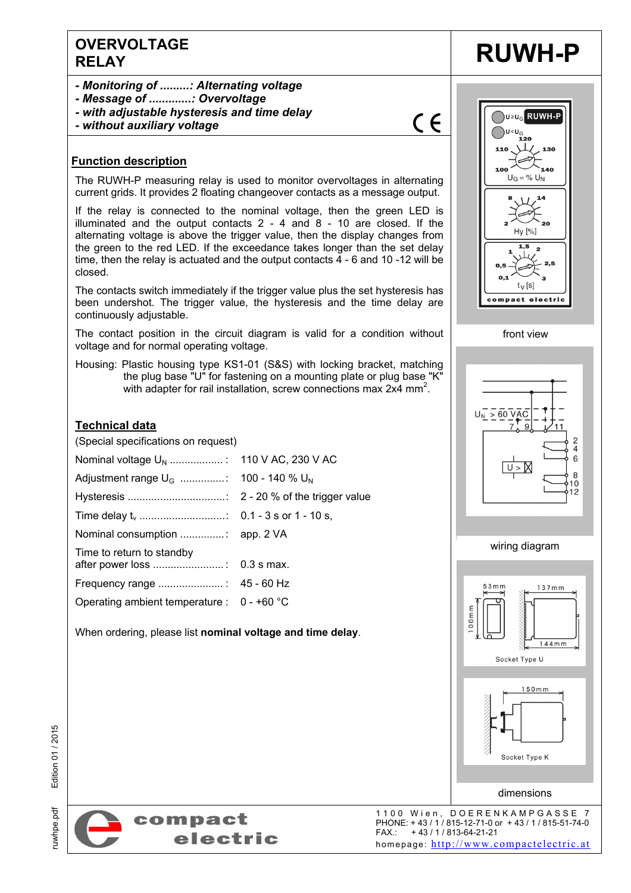### **OVERVOLTAGE**  EXPRESS RELAY RUWH-P

- *Monitoring of .........: Alternating voltage*
- *Message of .............: Overvoltage*
- *with adjustable hysteresis and time delay*
- *without auxiliary voltage*

#### **Function description**

The RUWH-P measuring relay is used to monitor overvoltages in alternating current grids. It provides 2 floating changeover contacts as a message output.

If the relay is connected to the nominal voltage, then the green LED is illuminated and the output contacts 2 - 4 and 8 - 10 are closed. If the alternating voltage is above the trigger value, then the display changes from the green to the red LED. If the exceedance takes longer than the set delay time, then the relay is actuated and the output contacts 4 - 6 and 10 -12 will be closed.

The contacts switch immediately if the trigger value plus the set hysteresis has been undershot. The trigger value, the hysteresis and the time delay are continuously adjustable.

The contact position in the circuit diagram is valid for a condition without voltage and for normal operating voltage.

Housing: Plastic housing type KS1-01 (S&S) with locking bracket, matching the plug base "U" for fastening on a mounting plate or plug base "K" with adapter for rail installation, screw connections max 2x4 mm<sup>2</sup>.

#### **Technical data**

(Special specifications on request)

| Time to return to standby                    |  |
|----------------------------------------------|--|
|                                              |  |
| Operating ambient temperature : $0 - +60$ °C |  |

When ordering, please list **nominal voltage and time delay**.



 $C \in$ 



front view









Edition 01 / 2015



1100 Wien, DOERENKAMPGASSE 7 PHONE: + 43 / 1 / 815-12-71-0 or + 43 / 1 / 815-51-74-0 FAX.: + 43 / 1 / 813-64-21-21 homepage: http://www.compactelectric.at